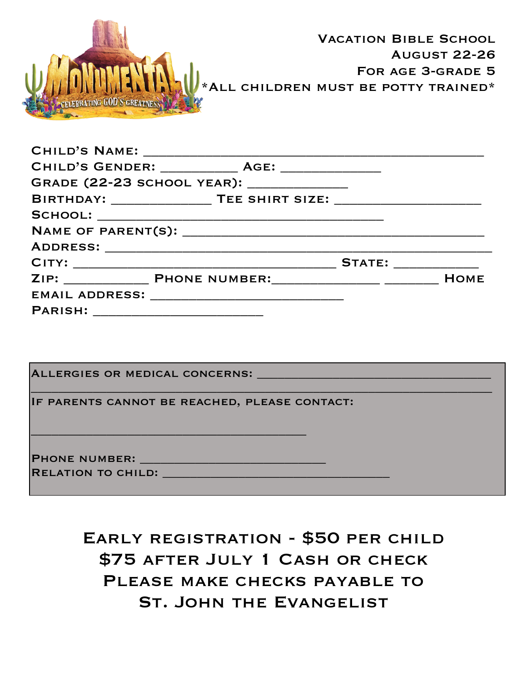| <b>CELEBRATING GOD S GREATNESS</b>  |                                                   | <b>VACATION BIBLE SCHOOL</b><br><b>AUGUST 22-26</b><br>FOR AGE 3-GRADE 5<br>*ALL CHILDREN MUST BE POTTY TRAINED* |
|-------------------------------------|---------------------------------------------------|------------------------------------------------------------------------------------------------------------------|
|                                     |                                                   |                                                                                                                  |
|                                     | CHILD'S GENDER: _____________ AGE: ______________ |                                                                                                                  |
|                                     | GRADE (22-23 SCHOOL YEAR): _____________          |                                                                                                                  |
|                                     |                                                   |                                                                                                                  |
|                                     |                                                   |                                                                                                                  |
|                                     |                                                   |                                                                                                                  |
|                                     |                                                   |                                                                                                                  |
|                                     |                                                   |                                                                                                                  |
|                                     |                                                   |                                                                                                                  |
|                                     | EMAIL ADDRESS: _______________________________    |                                                                                                                  |
| PARISH: ___________________________ |                                                   |                                                                                                                  |
|                                     |                                                   |                                                                                                                  |

| ALLERGIES OR MEDICAL CONCERNS: _____          |
|-----------------------------------------------|
| IF PARENTS CANNOT BE REACHED, PLEASE CONTACT: |
| <b>PHONE NUMBER:</b>                          |
| <b>RELATION TO CHILD:</b>                     |

Early registration - \$50 per child \$75 after July 1 Cash or check PLEASE MAKE CHECKS PAYABLE TO St. John the Evangelist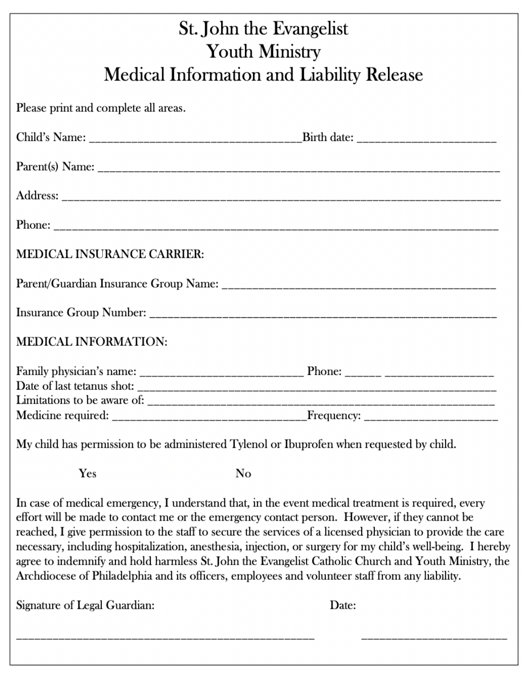|                                      | St. John the Evangelist<br><b>Youth Ministry</b>                                                                                                                                                                                                                                                                  |
|--------------------------------------|-------------------------------------------------------------------------------------------------------------------------------------------------------------------------------------------------------------------------------------------------------------------------------------------------------------------|
|                                      | <b>Medical Information and Liability Release</b>                                                                                                                                                                                                                                                                  |
| Please print and complete all areas. |                                                                                                                                                                                                                                                                                                                   |
|                                      |                                                                                                                                                                                                                                                                                                                   |
|                                      |                                                                                                                                                                                                                                                                                                                   |
|                                      |                                                                                                                                                                                                                                                                                                                   |
|                                      |                                                                                                                                                                                                                                                                                                                   |
| <b>MEDICAL INSURANCE CARRIER:</b>    |                                                                                                                                                                                                                                                                                                                   |
|                                      |                                                                                                                                                                                                                                                                                                                   |
|                                      |                                                                                                                                                                                                                                                                                                                   |
| <b>MEDICAL INFORMATION:</b>          |                                                                                                                                                                                                                                                                                                                   |
|                                      |                                                                                                                                                                                                                                                                                                                   |
|                                      |                                                                                                                                                                                                                                                                                                                   |
|                                      |                                                                                                                                                                                                                                                                                                                   |
|                                      | My child has permission to be administered Tylenol or Ibuprofen when requested by child.                                                                                                                                                                                                                          |
| Yes                                  | No                                                                                                                                                                                                                                                                                                                |
|                                      | In case of medical emergency, I understand that, in the event medical treatment is required, every<br>effort will be made to contact me or the emergency contact person. However, if they cannot be<br>reached, I give permission to the staff to secure the services of a licensed physician to provide the care |

agree to indemnify and hold harmless St. John the Evangelist Catholic Church and Youth Ministry, the Archdiocese of Philadelphia and its officers, employees and volunteer staff from any liability.

necessary, including hospitalization, anesthesia, injection, or surgery for my child's well-being. I hereby

Signature of Legal Guardian:

Date: